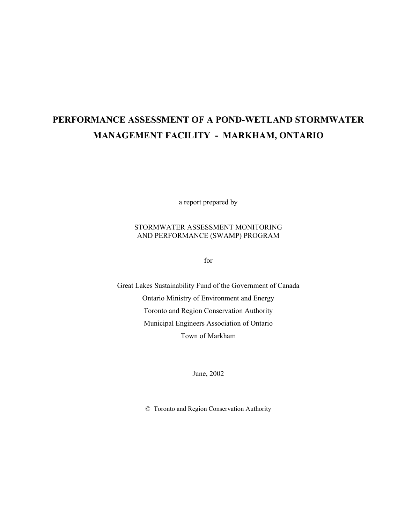# **PERFORMANCE ASSESSMENT OF A POND-WETLAND STORMWATER MANAGEMENT FACILITY - MARKHAM, ONTARIO**

a report prepared by

#### STORMWATER ASSESSMENT MONITORING AND PERFORMANCE (SWAMP) PROGRAM

for

Great Lakes Sustainability Fund of the Government of Canada Ontario Ministry of Environment and Energy Toronto and Region Conservation Authority Municipal Engineers Association of Ontario Town of Markham

June, 2002

© Toronto and Region Conservation Authority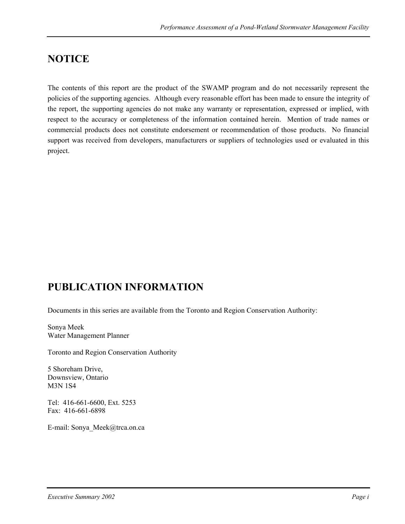# **NOTICE**

The contents of this report are the product of the SWAMP program and do not necessarily represent the policies of the supporting agencies. Although every reasonable effort has been made to ensure the integrity of the report, the supporting agencies do not make any warranty or representation, expressed or implied, with respect to the accuracy or completeness of the information contained herein. Mention of trade names or commercial products does not constitute endorsement or recommendation of those products. No financial support was received from developers, manufacturers or suppliers of technologies used or evaluated in this project.

## **PUBLICATION INFORMATION**

Documents in this series are available from the Toronto and Region Conservation Authority:

Sonya Meek Water Management Planner

Toronto and Region Conservation Authority

5 Shoreham Drive, Downsview, Ontario M3N 1S4

Tel: 416-661-6600, Ext. 5253 Fax: 416-661-6898

E-mail: Sonya\_Meek@trca.on.ca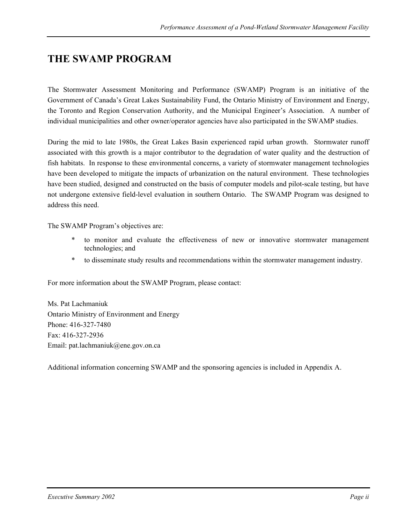# **THE SWAMP PROGRAM**

The Stormwater Assessment Monitoring and Performance (SWAMP) Program is an initiative of the Government of Canada's Great Lakes Sustainability Fund, the Ontario Ministry of Environment and Energy, the Toronto and Region Conservation Authority, and the Municipal Engineer's Association. A number of individual municipalities and other owner/operator agencies have also participated in the SWAMP studies.

During the mid to late 1980s, the Great Lakes Basin experienced rapid urban growth. Stormwater runoff associated with this growth is a major contributor to the degradation of water quality and the destruction of fish habitats. In response to these environmental concerns, a variety of stormwater management technologies have been developed to mitigate the impacts of urbanization on the natural environment. These technologies have been studied, designed and constructed on the basis of computer models and pilot-scale testing, but have not undergone extensive field-level evaluation in southern Ontario. The SWAMP Program was designed to address this need.

The SWAMP Program's objectives are:

- \* to monitor and evaluate the effectiveness of new or innovative stormwater management technologies; and
- \* to disseminate study results and recommendations within the stormwater management industry.

For more information about the SWAMP Program, please contact:

Ms. Pat Lachmaniuk Ontario Ministry of Environment and Energy Phone: 416-327-7480 Fax: 416-327-2936 Email: pat.lachmaniuk@ene.gov.on.ca

Additional information concerning SWAMP and the sponsoring agencies is included in Appendix A.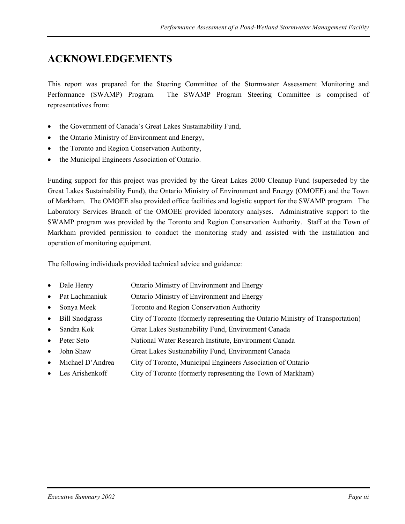# **ACKNOWLEDGEMENTS**

This report was prepared for the Steering Committee of the Stormwater Assessment Monitoring and Performance (SWAMP) Program. The SWAMP Program Steering Committee is comprised of representatives from:

- the Government of Canada's Great Lakes Sustainability Fund,
- the Ontario Ministry of Environment and Energy,
- the Toronto and Region Conservation Authority,
- the Municipal Engineers Association of Ontario.

Funding support for this project was provided by the Great Lakes 2000 Cleanup Fund (superseded by the Great Lakes Sustainability Fund), the Ontario Ministry of Environment and Energy (OMOEE) and the Town of Markham. The OMOEE also provided office facilities and logistic support for the SWAMP program. The Laboratory Services Branch of the OMOEE provided laboratory analyses. Administrative support to the SWAMP program was provided by the Toronto and Region Conservation Authority. Staff at the Town of Markham provided permission to conduct the monitoring study and assisted with the installation and operation of monitoring equipment.

The following individuals provided technical advice and guidance:

- Dale Henry **Ontario Ministry of Environment and Energy**
- Pat Lachmaniuk Ontario Ministry of Environment and Energy
- Sonya Meek Toronto and Region Conservation Authority
- Bill Snodgrass City of Toronto (formerly representing the Ontario Ministry of Transportation)
- Sandra Kok Great Lakes Sustainability Fund, Environment Canada
- Peter Seto National Water Research Institute, Environment Canada
- John Shaw Great Lakes Sustainability Fund, Environment Canada
- Michael D'Andrea City of Toronto, Municipal Engineers Association of Ontario
- Les Arishenkoff City of Toronto (formerly representing the Town of Markham)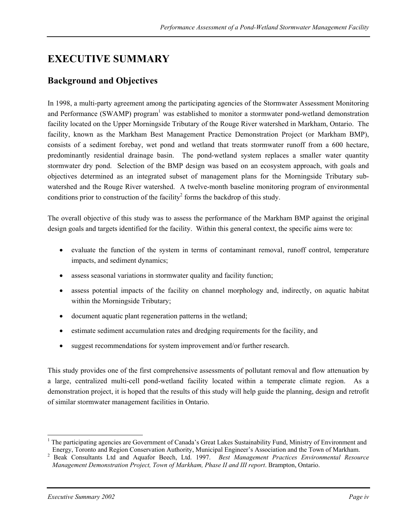# **EXECUTIVE SUMMARY**

### **Background and Objectives**

In 1998, a multi-party agreement among the participating agencies of the Stormwater Assessment Monitoring and Performance (SWAMP) program<sup>1</sup> was established to monitor a stormwater pond-wetland demonstration facility located on the Upper Morningside Tributary of the Rouge River watershed in Markham, Ontario. The facility, known as the Markham Best Management Practice Demonstration Project (or Markham BMP), consists of a sediment forebay, wet pond and wetland that treats stormwater runoff from a 600 hectare, predominantly residential drainage basin. The pond-wetland system replaces a smaller water quantity stormwater dry pond. Selection of the BMP design was based on an ecosystem approach, with goals and objectives determined as an integrated subset of management plans for the Morningside Tributary subwatershed and the Rouge River watershed. A twelve-month baseline monitoring program of environmental conditions prior to construction of the facility<sup>2</sup> forms the backdrop of this study.

The overall objective of this study was to assess the performance of the Markham BMP against the original design goals and targets identified for the facility. Within this general context, the specific aims were to:

- evaluate the function of the system in terms of contaminant removal, runoff control, temperature impacts, and sediment dynamics;
- assess seasonal variations in stormwater quality and facility function;
- assess potential impacts of the facility on channel morphology and, indirectly, on aquatic habitat within the Morningside Tributary;
- document aquatic plant regeneration patterns in the wetland;
- estimate sediment accumulation rates and dredging requirements for the facility, and
- suggest recommendations for system improvement and/or further research.

This study provides one of the first comprehensive assessments of pollutant removal and flow attenuation by a large, centralized multi-cell pond-wetland facility located within a temperate climate region. As a demonstration project, it is hoped that the results of this study will help guide the planning, design and retrofit of similar stormwater management facilities in Ontario.

 $\overline{a}$ <sup>1</sup> The participating agencies are Government of Canada's Great Lakes Sustainability Fund, Ministry of Environment and

Energy, Toronto and Region Conservation Authority, Municipal Engineer's Association and the Town of Markham. 2 Beak Consultants Ltd and Aquafor Beech, Ltd. 1997. *Best Management Practices Environmental Resource Management Demonstration Project, Town of Markham, Phase II and III report*. Brampton, Ontario.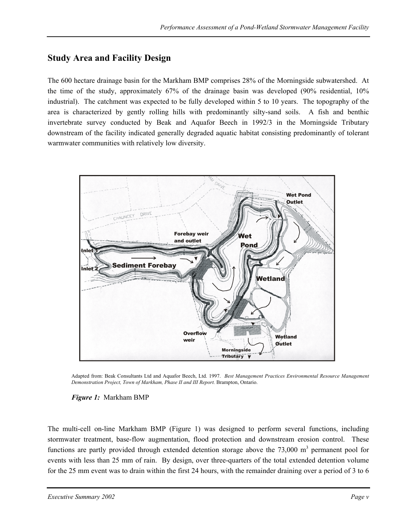### **Study Area and Facility Design**

The 600 hectare drainage basin for the Markham BMP comprises 28% of the Morningside subwatershed. At the time of the study, approximately 67% of the drainage basin was developed (90% residential, 10% industrial). The catchment was expected to be fully developed within 5 to 10 years. The topography of the area is characterized by gently rolling hills with predominantly silty-sand soils. A fish and benthic invertebrate survey conducted by Beak and Aquafor Beech in 1992/3 in the Morningside Tributary downstream of the facility indicated generally degraded aquatic habitat consisting predominantly of tolerant warmwater communities with relatively low diversity.



Adapted from: Beak Consultants Ltd and Aquafor Beech, Ltd. 1997. *Best Management Practices Environmental Resource Management Demonstration Project, Town of Markham, Phase II and III Report.* Brampton, Ontario.

#### *Figure 1:* Markham BMP

The multi-cell on-line Markham BMP (Figure 1) was designed to perform several functions, including stormwater treatment, base-flow augmentation, flood protection and downstream erosion control. These functions are partly provided through extended detention storage above the  $73,000 \text{ m}^3$  permanent pool for events with less than 25 mm of rain. By design, over three-quarters of the total extended detention volume for the 25 mm event was to drain within the first 24 hours, with the remainder draining over a period of 3 to 6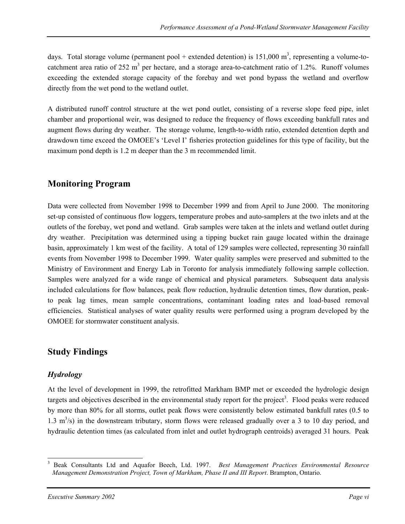days. Total storage volume (permanent pool + extended detention) is  $151,000 \text{ m}^3$ , representing a volume-tocatchment area ratio of 252 m<sup>3</sup> per hectare, and a storage area-to-catchment ratio of 1.2%. Runoff volumes exceeding the extended storage capacity of the forebay and wet pond bypass the wetland and overflow directly from the wet pond to the wetland outlet.

A distributed runoff control structure at the wet pond outlet, consisting of a reverse slope feed pipe, inlet chamber and proportional weir, was designed to reduce the frequency of flows exceeding bankfull rates and augment flows during dry weather. The storage volume, length-to-width ratio, extended detention depth and drawdown time exceed the OMOEE's 'Level I' fisheries protection guidelines for this type of facility, but the maximum pond depth is 1.2 m deeper than the 3 m recommended limit.

### **Monitoring Program**

Data were collected from November 1998 to December 1999 and from April to June 2000. The monitoring set-up consisted of continuous flow loggers, temperature probes and auto-samplers at the two inlets and at the outlets of the forebay, wet pond and wetland. Grab samples were taken at the inlets and wetland outlet during dry weather. Precipitation was determined using a tipping bucket rain gauge located within the drainage basin, approximately 1 km west of the facility. A total of 129 samples were collected, representing 30 rainfall events from November 1998 to December 1999. Water quality samples were preserved and submitted to the Ministry of Environment and Energy Lab in Toronto for analysis immediately following sample collection. Samples were analyzed for a wide range of chemical and physical parameters. Subsequent data analysis included calculations for flow balances, peak flow reduction, hydraulic detention times, flow duration, peakto peak lag times, mean sample concentrations, contaminant loading rates and load-based removal efficiencies. Statistical analyses of water quality results were performed using a program developed by the OMOEE for stormwater constituent analysis.

### **Study Findings**

### *Hydrology*

At the level of development in 1999, the retrofitted Markham BMP met or exceeded the hydrologic design targets and objectives described in the environmental study report for the project<sup>3</sup>. Flood peaks were reduced by more than 80% for all storms, outlet peak flows were consistently below estimated bankfull rates (0.5 to 1.3  $\text{m}^3$ /s) in the downstream tributary, storm flows were released gradually over a 3 to 10 day period, and hydraulic detention times (as calculated from inlet and outlet hydrograph centroids) averaged 31 hours. Peak

 $\overline{a}$ 3 Beak Consultants Ltd and Aquafor Beech, Ltd. 1997. *Best Management Practices Environmental Resource Management Demonstration Project, Town of Markham, Phase II and III Report*. Brampton, Ontario.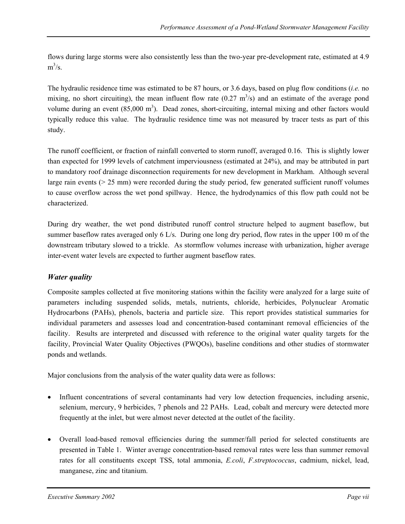flows during large storms were also consistently less than the two-year pre-development rate, estimated at 4.9  $m^3/s$ .

The hydraulic residence time was estimated to be 87 hours, or 3.6 days, based on plug flow conditions (*i.e.* no mixing, no short circuiting), the mean influent flow rate  $(0.27 \text{ m}^3/\text{s})$  and an estimate of the average pond volume during an event  $(85,000 \text{ m}^3)$ . Dead zones, short-circuiting, internal mixing and other factors would typically reduce this value. The hydraulic residence time was not measured by tracer tests as part of this study.

The runoff coefficient, or fraction of rainfall converted to storm runoff, averaged 0.16. This is slightly lower than expected for 1999 levels of catchment imperviousness (estimated at 24%), and may be attributed in part to mandatory roof drainage disconnection requirements for new development in Markham. Although several large rain events (> 25 mm) were recorded during the study period, few generated sufficient runoff volumes to cause overflow across the wet pond spillway. Hence, the hydrodynamics of this flow path could not be characterized.

During dry weather, the wet pond distributed runoff control structure helped to augment baseflow, but summer baseflow rates averaged only 6 L/s. During one long dry period, flow rates in the upper 100 m of the downstream tributary slowed to a trickle. As stormflow volumes increase with urbanization, higher average inter-event water levels are expected to further augment baseflow rates.

### *Water quality*

Composite samples collected at five monitoring stations within the facility were analyzed for a large suite of parameters including suspended solids, metals, nutrients, chloride, herbicides, Polynuclear Aromatic Hydrocarbons (PAHs), phenols, bacteria and particle size. This report provides statistical summaries for individual parameters and assesses load and concentration-based contaminant removal efficiencies of the facility. Results are interpreted and discussed with reference to the original water quality targets for the facility, Provincial Water Quality Objectives (PWQOs), baseline conditions and other studies of stormwater ponds and wetlands.

Major conclusions from the analysis of the water quality data were as follows:

- Influent concentrations of several contaminants had very low detection frequencies, including arsenic, selenium, mercury, 9 herbicides, 7 phenols and 22 PAHs. Lead, cobalt and mercury were detected more frequently at the inlet, but were almost never detected at the outlet of the facility.
- Overall load-based removal efficiencies during the summer/fall period for selected constituents are presented in Table 1. Winter average concentration-based removal rates were less than summer removal rates for all constituents except TSS, total ammonia, *E.coli*, *F.streptococcus*, cadmium, nickel, lead, manganese, zinc and titanium.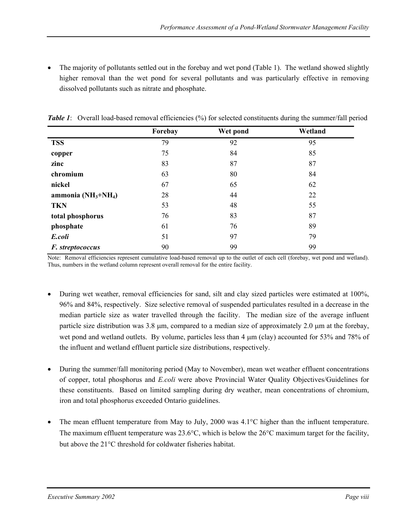• The majority of pollutants settled out in the forebay and wet pond (Table 1). The wetland showed slightly higher removal than the wet pond for several pollutants and was particularly effective in removing dissolved pollutants such as nitrate and phosphate.

|                       | Forebay | Wet pond | Wetland |
|-----------------------|---------|----------|---------|
| <b>TSS</b>            | 79      | 92       | 95      |
| copper                | 75      | 84       | 85      |
| zinc                  | 83      | 87       | 87      |
| chromium              | 63      | 80       | 84      |
| nickel                | 67      | 65       | 62      |
| ammonia $(NH_3+NH_4)$ | 28      | 44       | 22      |
| <b>TKN</b>            | 53      | 48       | 55      |
| total phosphorus      | 76      | 83       | 87      |
| phosphate             | 61      | 76       | 89      |
| E.coli                | 51      | 97       | 79      |
| F. streptococcus      | 90      | 99       | 99      |

*Table 1*: Overall load-based removal efficiencies (%) for selected constituents during the summer/fall period

Note: Removal efficiencies represent cumulative load-based removal up to the outlet of each cell (forebay, wet pond and wetland). Thus, numbers in the wetland column represent overall removal for the entire facility.

- During wet weather, removal efficiencies for sand, silt and clay sized particles were estimated at 100%, 96% and 84%, respectively. Size selective removal of suspended particulates resulted in a decrease in the median particle size as water travelled through the facility. The median size of the average influent particle size distribution was  $3.8 \mu m$ , compared to a median size of approximately  $2.0 \mu m$  at the forebay, wet pond and wetland outlets. By volume, particles less than 4  $\mu$ m (clay) accounted for 53% and 78% of the influent and wetland effluent particle size distributions, respectively.
- During the summer/fall monitoring period (May to November), mean wet weather effluent concentrations of copper, total phosphorus and *E.coli* were above Provincial Water Quality Objectives/Guidelines for these constituents. Based on limited sampling during dry weather, mean concentrations of chromium, iron and total phosphorus exceeded Ontario guidelines.
- The mean effluent temperature from May to July, 2000 was 4.1°C higher than the influent temperature. The maximum effluent temperature was 23.6°C, which is below the 26°C maximum target for the facility, but above the 21°C threshold for coldwater fisheries habitat.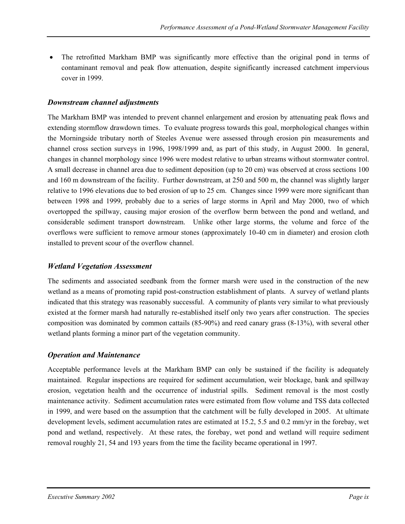• The retrofitted Markham BMP was significantly more effective than the original pond in terms of contaminant removal and peak flow attenuation, despite significantly increased catchment impervious cover in 1999.

#### *Downstream channel adjustments*

The Markham BMP was intended to prevent channel enlargement and erosion by attenuating peak flows and extending stormflow drawdown times. To evaluate progress towards this goal, morphological changes within the Morningside tributary north of Steeles Avenue were assessed through erosion pin measurements and channel cross section surveys in 1996, 1998/1999 and, as part of this study, in August 2000. In general, changes in channel morphology since 1996 were modest relative to urban streams without stormwater control. A small decrease in channel area due to sediment deposition (up to 20 cm) was observed at cross sections 100 and 160 m downstream of the facility. Further downstream, at 250 and 500 m, the channel was slightly larger relative to 1996 elevations due to bed erosion of up to 25 cm. Changes since 1999 were more significant than between 1998 and 1999, probably due to a series of large storms in April and May 2000, two of which overtopped the spillway, causing major erosion of the overflow berm between the pond and wetland, and considerable sediment transport downstream. Unlike other large storms, the volume and force of the overflows were sufficient to remove armour stones (approximately 10-40 cm in diameter) and erosion cloth installed to prevent scour of the overflow channel.

#### *Wetland Vegetation Assessment*

The sediments and associated seedbank from the former marsh were used in the construction of the new wetland as a means of promoting rapid post-construction establishment of plants. A survey of wetland plants indicated that this strategy was reasonably successful. A community of plants very similar to what previously existed at the former marsh had naturally re-established itself only two years after construction. The species composition was dominated by common cattails (85-90%) and reed canary grass (8-13%), with several other wetland plants forming a minor part of the vegetation community.

#### *Operation and Maintenance*

Acceptable performance levels at the Markham BMP can only be sustained if the facility is adequately maintained. Regular inspections are required for sediment accumulation, weir blockage, bank and spillway erosion, vegetation health and the occurrence of industrial spills. Sediment removal is the most costly maintenance activity. Sediment accumulation rates were estimated from flow volume and TSS data collected in 1999, and were based on the assumption that the catchment will be fully developed in 2005. At ultimate development levels, sediment accumulation rates are estimated at 15.2, 5.5 and 0.2 mm/yr in the forebay, wet pond and wetland, respectively. At these rates, the forebay, wet pond and wetland will require sediment removal roughly 21, 54 and 193 years from the time the facility became operational in 1997.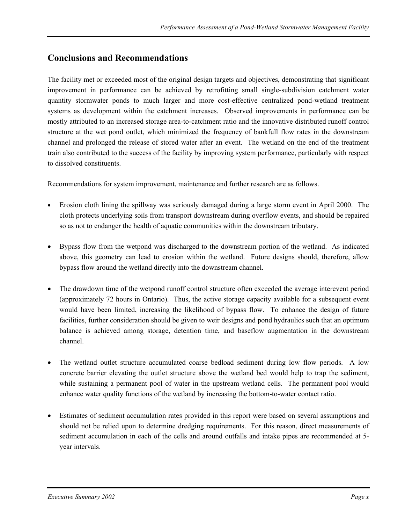### **Conclusions and Recommendations**

The facility met or exceeded most of the original design targets and objectives, demonstrating that significant improvement in performance can be achieved by retrofitting small single-subdivision catchment water quantity stormwater ponds to much larger and more cost-effective centralized pond-wetland treatment systems as development within the catchment increases. Observed improvements in performance can be mostly attributed to an increased storage area-to-catchment ratio and the innovative distributed runoff control structure at the wet pond outlet, which minimized the frequency of bankfull flow rates in the downstream channel and prolonged the release of stored water after an event. The wetland on the end of the treatment train also contributed to the success of the facility by improving system performance, particularly with respect to dissolved constituents.

Recommendations for system improvement, maintenance and further research are as follows.

- Erosion cloth lining the spillway was seriously damaged during a large storm event in April 2000. The cloth protects underlying soils from transport downstream during overflow events, and should be repaired so as not to endanger the health of aquatic communities within the downstream tributary.
- Bypass flow from the wetpond was discharged to the downstream portion of the wetland. As indicated above, this geometry can lead to erosion within the wetland. Future designs should, therefore, allow bypass flow around the wetland directly into the downstream channel.
- The drawdown time of the wetpond runoff control structure often exceeded the average interevent period (approximately 72 hours in Ontario). Thus, the active storage capacity available for a subsequent event would have been limited, increasing the likelihood of bypass flow. To enhance the design of future facilities, further consideration should be given to weir designs and pond hydraulics such that an optimum balance is achieved among storage, detention time, and baseflow augmentation in the downstream channel.
- The wetland outlet structure accumulated coarse bedload sediment during low flow periods. A low concrete barrier elevating the outlet structure above the wetland bed would help to trap the sediment, while sustaining a permanent pool of water in the upstream wetland cells. The permanent pool would enhance water quality functions of the wetland by increasing the bottom-to-water contact ratio.
- Estimates of sediment accumulation rates provided in this report were based on several assumptions and should not be relied upon to determine dredging requirements. For this reason, direct measurements of sediment accumulation in each of the cells and around outfalls and intake pipes are recommended at 5 year intervals.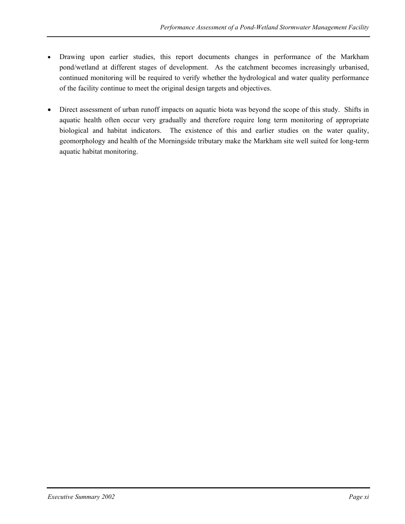- Drawing upon earlier studies, this report documents changes in performance of the Markham pond/wetland at different stages of development. As the catchment becomes increasingly urbanised, continued monitoring will be required to verify whether the hydrological and water quality performance of the facility continue to meet the original design targets and objectives.
- Direct assessment of urban runoff impacts on aquatic biota was beyond the scope of this study. Shifts in aquatic health often occur very gradually and therefore require long term monitoring of appropriate biological and habitat indicators. The existence of this and earlier studies on the water quality, geomorphology and health of the Morningside tributary make the Markham site well suited for long-term aquatic habitat monitoring.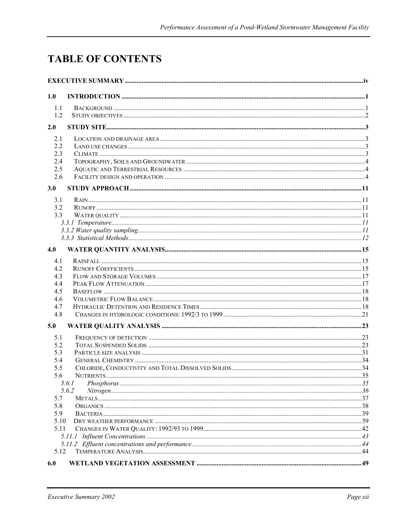# **TABLE OF CONTENTS**

| 1.0  |                |  |
|------|----------------|--|
| 1.1  |                |  |
| 1.2  |                |  |
| 2.0  |                |  |
| 2.1  |                |  |
| 2.2  |                |  |
| 2.3  |                |  |
| 2.4  |                |  |
| 2.5  |                |  |
| 2.6  |                |  |
| 3.0  |                |  |
| 3.1  |                |  |
| 3.2  |                |  |
| 3.3  |                |  |
|      |                |  |
|      |                |  |
|      |                |  |
| 4.0  |                |  |
| 4.1  |                |  |
| 4.2  |                |  |
| 4.3  |                |  |
| 4.4  |                |  |
| 4.5  |                |  |
| 4.6  |                |  |
| 4.7  |                |  |
| 4.8  |                |  |
| 5.0  |                |  |
| 5.1  |                |  |
| 5.2  |                |  |
| 5.3  |                |  |
| 5.4  |                |  |
| 5.5  |                |  |
| 5.6  |                |  |
|      | 5.6.1<br>5.6.2 |  |
| 5.7  |                |  |
| 5.8  |                |  |
| 5.9  |                |  |
| 5.10 |                |  |
| 5.11 |                |  |
|      |                |  |
|      |                |  |
| 5.12 |                |  |
| 6.0  |                |  |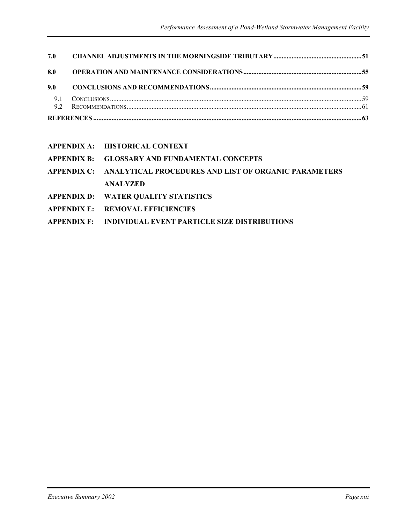| 7.0       |  |
|-----------|--|
| 8.0       |  |
| 9.0       |  |
| 9.1<br>92 |  |
|           |  |

| <b>APPENDIX A:</b> | <b>HISTORICAL CONTEXT</b> |
|--------------------|---------------------------|
|                    |                           |

**APPENDIX B: GLOSSARY AND FUNDAMENTAL CONCEPTS** 

- **APPENDIX C: ANALYTICAL PROCEDURES AND LIST OF ORGANIC PARAMETERS ANALYZED**
- **APPENDIX D: WATER QUALITY STATISTICS**
- **APPENDIX E: REMOVAL EFFICIENCIES**
- **APPENDIX F: INDIVIDUAL EVENT PARTICLE SIZE DISTRIBUTIONS**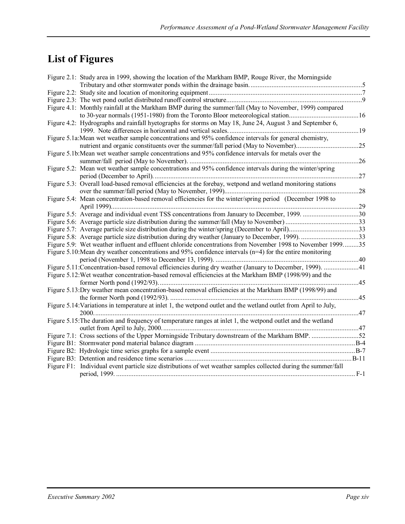# **List of Figures**

| Figure 2.1: Study area in 1999, showing the location of the Markham BMP, Rouge River, the Morningside            |     |
|------------------------------------------------------------------------------------------------------------------|-----|
|                                                                                                                  |     |
|                                                                                                                  |     |
|                                                                                                                  |     |
| Figure 4.1: Monthly rainfall at the Markham BMP during the summer/fall (May to November, 1999) compared          |     |
|                                                                                                                  |     |
| Figure 4.2: Hydrographs and rainfall hyetographs for storms on May 18, June 24, August 3 and September 6,        |     |
|                                                                                                                  |     |
| Figure 5.1a: Mean wet weather sample concentrations and 95% confidence intervals for general chemistry,          |     |
|                                                                                                                  |     |
| Figure 5.1b: Mean wet weather sample concentrations and 95% confidence intervals for metals over the             |     |
|                                                                                                                  | .26 |
| Figure 5.2: Mean wet weather sample concentrations and 95% confidence intervals during the winter/spring         |     |
|                                                                                                                  | 27  |
| Figure 5.3: Overall load-based removal efficiencies at the forebay, wetpond and wetland monitoring stations      |     |
|                                                                                                                  |     |
| Figure 5.4: Mean concentration-based removal efficiencies for the winter/spring period (December 1998 to         |     |
|                                                                                                                  |     |
|                                                                                                                  |     |
|                                                                                                                  |     |
|                                                                                                                  |     |
|                                                                                                                  |     |
| Figure 5.9: Wet weather influent and effluent chloride concentrations from November 1998 to November 199935      |     |
| Figure 5.10: Mean dry weather concentrations and 95% confidence intervals ( $n=4$ ) for the entire monitoring    |     |
|                                                                                                                  |     |
| Figure 5.11: Concentration-based removal efficiencies during dry weather (January to December, 1999). 41         |     |
| Figure 5.12: Wet weather concentration-based removal efficiencies at the Markham BMP (1998/99) and the           |     |
| . 45                                                                                                             |     |
| Figure 5.13: Dry weather mean concentration-based removal efficiencies at the Markham BMP (1998/99) and          |     |
|                                                                                                                  |     |
| Figure 5.14: Variations in temperature at inlet 1, the wetpond outlet and the wetland outlet from April to July, |     |
|                                                                                                                  |     |
| Figure 5.15: The duration and frequency of temperature ranges at inlet 1, the wetpond outlet and the wetland     |     |
|                                                                                                                  |     |
|                                                                                                                  |     |
|                                                                                                                  |     |
|                                                                                                                  |     |
|                                                                                                                  |     |
| Figure F1: Individual event particle size distributions of wet weather samples collected during the summer/fall  |     |
|                                                                                                                  |     |